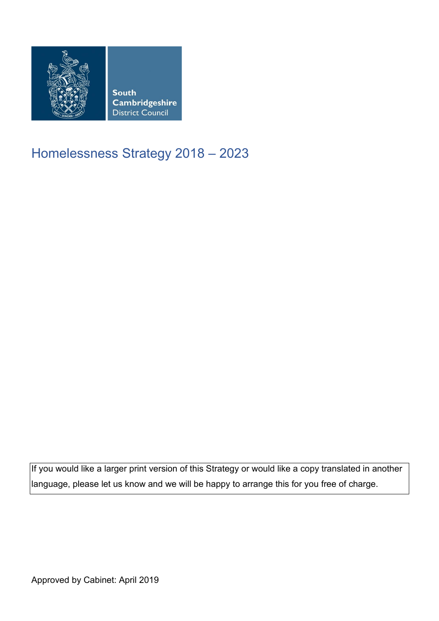

## Homelessness Strategy 2018 – 2023

If you would like a larger print version of this Strategy or would like a copy translated in another  $\vert$ language, please let us know and we will be happy to arrange this for you free of charge.

Approved by Cabinet: April 2019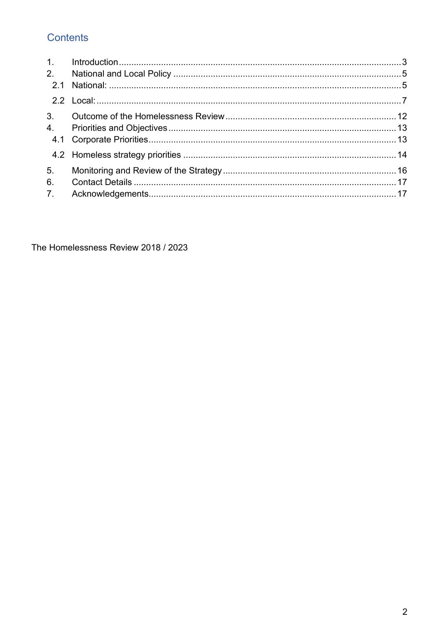## **Contents**

| 1.             |  |
|----------------|--|
| 2.             |  |
|                |  |
|                |  |
| 3 <sub>l</sub> |  |
| 4.             |  |
|                |  |
|                |  |
| 5 <sub>1</sub> |  |
| 6.             |  |
| 7 <sub>1</sub> |  |

The Homelessness Review 2018 / 2023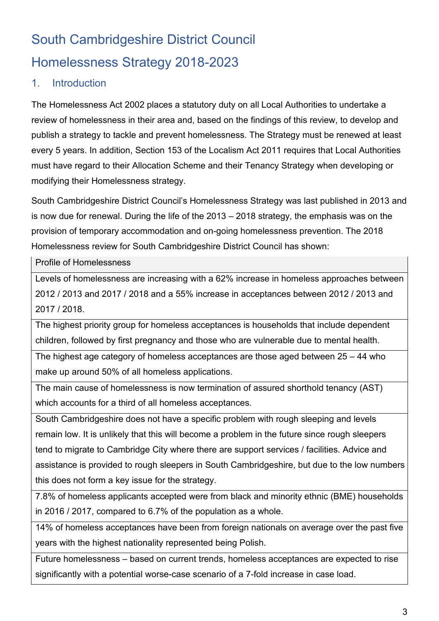# South Cambridgeshire District Council Homelessness Strategy 2018-2023

## <span id="page-2-0"></span>1. Introduction

 The Homelessness Act 2002 places a statutory duty on all Local Authorities to undertake a review of homelessness in their area and, based on the findings of this review, to develop and publish a strategy to tackle and prevent homelessness. The Strategy must be renewed at least every 5 years. In addition, Section 153 of the Localism Act 2011 requires that Local Authorities must have regard to their Allocation Scheme and their Tenancy Strategy when developing or modifying their Homelessness strategy.

 is now due for renewal. During the life of the 2013 – 2018 strategy, the emphasis was on the South Cambridgeshire District Council's Homelessness Strategy was last published in 2013 and provision of temporary accommodation and on-going homelessness prevention. The 2018 Homelessness review for South Cambridgeshire District Council has shown:

Profile of Homelessness

 2012 / 2013 and 2017 / 2018 and a 55% increase in acceptances between 2012 / 2013 and 2017 / 2018. Levels of homelessness are increasing with a 62% increase in homeless approaches between

The highest priority group for homeless acceptances is households that include dependent children, followed by first pregnancy and those who are vulnerable due to mental health.

The highest age category of homeless acceptances are those aged between 25 – 44 who make up around 50% of all homeless applications.

The main cause of homelessness is now termination of assured shorthold tenancy (AST) which accounts for a third of all homeless acceptances.

 tend to migrate to Cambridge City where there are support services / facilities. Advice and assistance is provided to rough sleepers in South Cambridgeshire, but due to the low numbers South Cambridgeshire does not have a specific problem with rough sleeping and levels remain low. It is unlikely that this will become a problem in the future since rough sleepers this does not form a key issue for the strategy.

 in 2016 / 2017, compared to 6.7% of the population as a whole. 7.8% of homeless applicants accepted were from black and minority ethnic (BME) households

14% of homeless acceptances have been from foreign nationals on average over the past five years with the highest nationality represented being Polish.

 Future homelessness – based on current trends, homeless acceptances are expected to rise significantly with a potential worse-case scenario of a 7-fold increase in case load.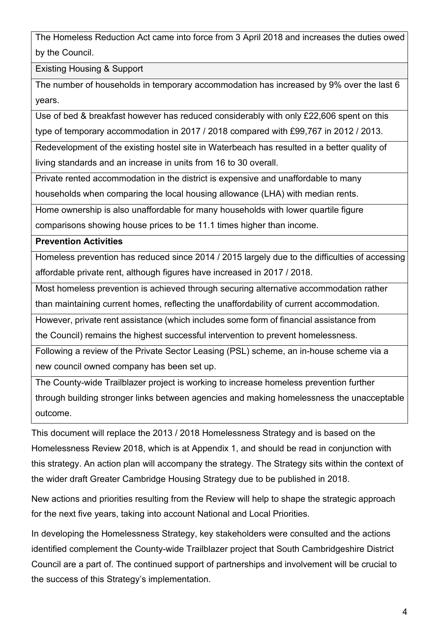The Homeless Reduction Act came into force from 3 April 2018 and increases the duties owed by the Council.

Existing Housing & Support

years. The number of households in temporary accommodation has increased by 9% over the last 6

years.<br>Use of bed & breakfast however has reduced considerably with only £22,606 spent on this type of temporary accommodation in 2017 / 2018 compared with £99,767 in 2012 / 2013.

Redevelopment of the existing hostel site in Waterbeach has resulted in a better quality of living standards and an increase in units from 16 to 30 overall.

Private rented accommodation in the district is expensive and unaffordable to many

households when comparing the local housing allowance (LHA) with median rents.

Home ownership is also unaffordable for many households with lower quartile figure

comparisons showing house prices to be 11.1 times higher than income.

#### **Prevention Activities**

 affordable private rent, although figures have increased in 2017 / 2018. Homeless prevention has reduced since 2014 / 2015 largely due to the difficulties of accessing

Most homeless prevention is achieved through securing alternative accommodation rather

than maintaining current homes, reflecting the unaffordability of current accommodation.

However, private rent assistance (which includes some form of financial assistance from

the Council) remains the highest successful intervention to prevent homelessness.

Following a review of the Private Sector Leasing (PSL) scheme, an in-house scheme via a new council owned company has been set up.

The County-wide Trailblazer project is working to increase homeless prevention further through building stronger links between agencies and making homelessness the unacceptable outcome.

 This document will replace the 2013 / 2018 Homelessness Strategy and is based on the Homelessness Review 2018, which is at Appendix 1, and should be read in conjunction with this strategy. An action plan will accompany the strategy. The Strategy sits within the context of the wider draft Greater Cambridge Housing Strategy due to be published in 2018.

 for the next five years, taking into account National and Local Priorities. New actions and priorities resulting from the Review will help to shape the strategic approach

In developing the Homelessness Strategy, key stakeholders were consulted and the actions identified complement the County-wide Trailblazer project that South Cambridgeshire District Council are a part of. The continued support of partnerships and involvement will be crucial to the success of this Strategy's implementation.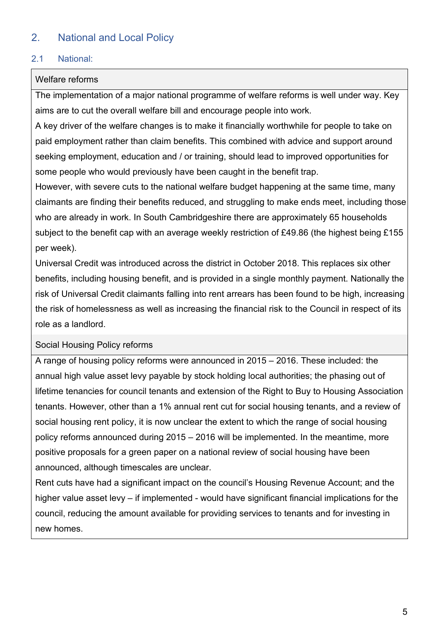## <span id="page-4-0"></span>2. National and Local Policy

#### <span id="page-4-1"></span>2.1 National:

#### Welfare reforms

 The implementation of a major national programme of welfare reforms is well under way. Key aims are to cut the overall welfare bill and encourage people into work.

 paid employment rather than claim benefits. This combined with advice and support around seeking employment, education and / or training, should lead to improved opportunities for A key driver of the welfare changes is to make it financially worthwhile for people to take on some people who would previously have been caught in the benefit trap.

 However, with severe cuts to the national welfare budget happening at the same time, many claimants are finding their benefits reduced, and struggling to make ends meet, including those who are already in work. In South Cambridgeshire there are approximately 65 households subject to the benefit cap with an average weekly restriction of £49.86 (the highest being £155 per week).

 Universal Credit was introduced across the district in October 2018. This replaces six other the risk of homelessness as well as increasing the financial risk to the Council in respect of its benefits, including housing benefit, and is provided in a single monthly payment. Nationally the risk of Universal Credit claimants falling into rent arrears has been found to be high, increasing role as a landlord.

#### Social Housing Policy reforms

 policy reforms announced during 2015 – 2016 will be implemented. In the meantime, more positive proposals for a green paper on a national review of social housing have been A range of housing policy reforms were announced in 2015 – 2016. These included: the annual high value asset levy payable by stock holding local authorities; the phasing out of lifetime tenancies for council tenants and extension of the Right to Buy to Housing Association tenants. However, other than a 1% annual rent cut for social housing tenants, and a review of social housing rent policy, it is now unclear the extent to which the range of social housing announced, although timescales are unclear.

Rent cuts have had a significant impact on the council's Housing Revenue Account; and the higher value asset levy – if implemented - would have significant financial implications for the council, reducing the amount available for providing services to tenants and for investing in new homes.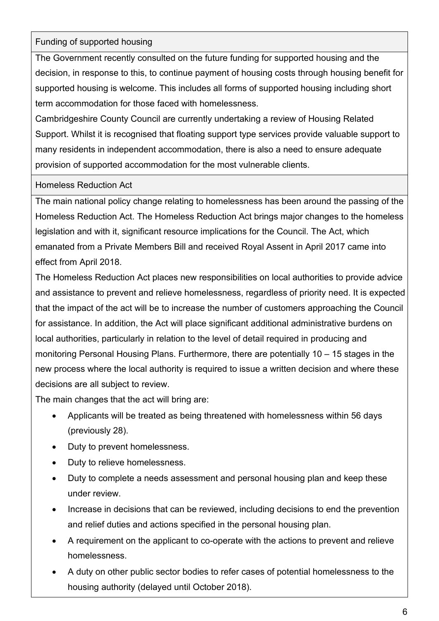#### Funding of supported housing

 supported housing is welcome. This includes all forms of supported housing including short The Government recently consulted on the future funding for supported housing and the decision, in response to this, to continue payment of housing costs through housing benefit for term accommodation for those faced with homelessness.

Cambridgeshire County Council are currently undertaking a review of Housing Related Support. Whilst it is recognised that floating support type services provide valuable support to many residents in independent accommodation, there is also a need to ensure adequate provision of supported accommodation for the most vulnerable clients.

#### Homeless Reduction Act

The main national policy change relating to homelessness has been around the passing of the Homeless Reduction Act. The Homeless Reduction Act brings major changes to the homeless legislation and with it, significant resource implications for the Council. The Act, which emanated from a Private Members Bill and received Royal Assent in April 2017 came into effect from April 2018.

 and assistance to prevent and relieve homelessness, regardless of priority need. It is expected The Homeless Reduction Act places new responsibilities on local authorities to provide advice that the impact of the act will be to increase the number of customers approaching the Council for assistance. In addition, the Act will place significant additional administrative burdens on local authorities, particularly in relation to the level of detail required in producing and monitoring Personal Housing Plans. Furthermore, there are potentially 10 – 15 stages in the new process where the local authority is required to issue a written decision and where these decisions are all subject to review.

The main changes that the act will bring are:

- Applicants will be treated as being threatened with homelessness within 56 days (previously 28).
- Duty to prevent homelessness.
- Duty to relieve homelessness.
- Duty to complete a needs assessment and personal housing plan and keep these under review.
- Increase in decisions that can be reviewed, including decisions to end the prevention and relief duties and actions specified in the personal housing plan.
- A requirement on the applicant to co-operate with the actions to prevent and relieve homelessness.
- housing authority (delayed until October 2018). • A duty on other public sector bodies to refer cases of potential homelessness to the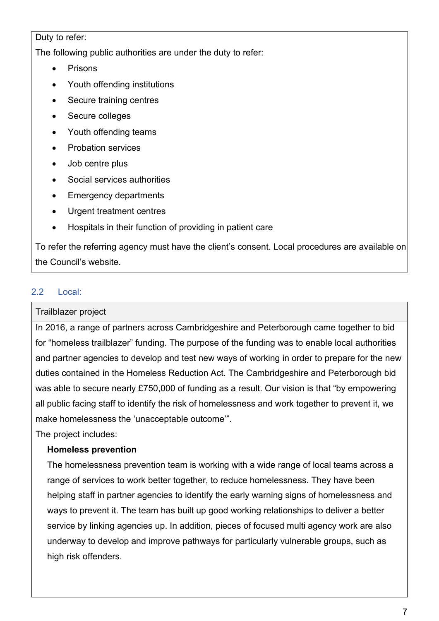Duty to refer:

The following public authorities are under the duty to refer:

- **Prisons**
- Youth offending institutions
- Secure training centres
- Secure colleges
- Youth offending teams
- Probation services
- Job centre plus
- Social services authorities
- Emergency departments
- Urgent treatment centres
- Hospitals in their function of providing in patient care

To refer the referring agency must have the client's consent. Local procedures are available on the Council's website.

#### <span id="page-6-0"></span> $2.2$ Local:

#### Trailblazer project

In 2016, a range of partners across Cambridgeshire and Peterborough came together to bid for "homeless trailblazer" funding. The purpose of the funding was to enable local authorities and partner agencies to develop and test new ways of working in order to prepare for the new duties contained in the Homeless Reduction Act. The Cambridgeshire and Peterborough bid was able to secure nearly £750,000 of funding as a result. Our vision is that "by empowering all public facing staff to identify the risk of homelessness and work together to prevent it, we make homelessness the 'unacceptable outcome'".

The project includes:

#### **Homeless prevention**

 helping staff in partner agencies to identify the early warning signs of homelessness and service by linking agencies up. In addition, pieces of focused multi agency work are also The homelessness prevention team is working with a wide range of local teams across a range of services to work better together, to reduce homelessness. They have been ways to prevent it. The team has built up good working relationships to deliver a better underway to develop and improve pathways for particularly vulnerable groups, such as high risk offenders.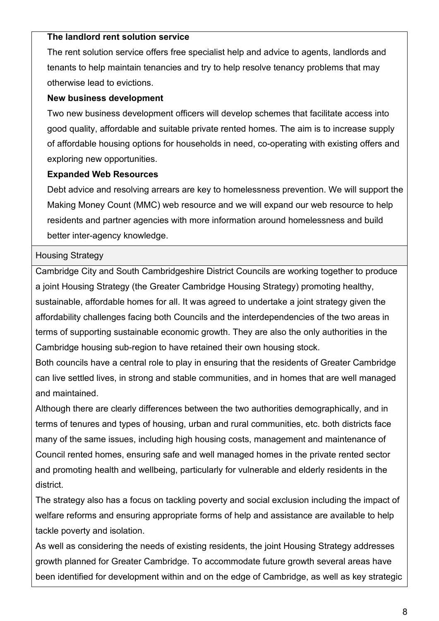#### **The landlord rent solution service**

 tenants to help maintain tenancies and try to help resolve tenancy problems that may The rent solution service offers free specialist help and advice to agents, landlords and otherwise lead to evictions.

#### **New business development**

Two new business development officers will develop schemes that facilitate access into good quality, affordable and suitable private rented homes. The aim is to increase supply of affordable housing options for households in need, co-operating with existing offers and exploring new opportunities.

#### **Expanded Web Resources**

 residents and partner agencies with more information around homelessness and build Debt advice and resolving arrears are key to homelessness prevention. We will support the Making Money Count (MMC) web resource and we will expand our web resource to help better inter-agency knowledge.

#### Housing Strategy

Cambridge City and South Cambridgeshire District Councils are working together to produce a joint Housing Strategy (the Greater Cambridge Housing Strategy) promoting healthy, sustainable, affordable homes for all. It was agreed to undertake a joint strategy given the affordability challenges facing both Councils and the interdependencies of the two areas in terms of supporting sustainable economic growth. They are also the only authorities in the Cambridge housing sub-region to have retained their own housing stock.

Both councils have a central role to play in ensuring that the residents of Greater Cambridge can live settled lives, in strong and stable communities, and in homes that are well managed and maintained.

Although there are clearly differences between the two authorities demographically, and in terms of tenures and types of housing, urban and rural communities, etc. both districts face many of the same issues, including high housing costs, management and maintenance of Council rented homes, ensuring safe and well managed homes in the private rented sector and promoting health and wellbeing, particularly for vulnerable and elderly residents in the district.

 The strategy also has a focus on tackling poverty and social exclusion including the impact of welfare reforms and ensuring appropriate forms of help and assistance are available to help tackle poverty and isolation.

 growth planned for Greater Cambridge. To accommodate future growth several areas have As well as considering the needs of existing residents, the joint Housing Strategy addresses been identified for development within and on the edge of Cambridge, as well as key strategic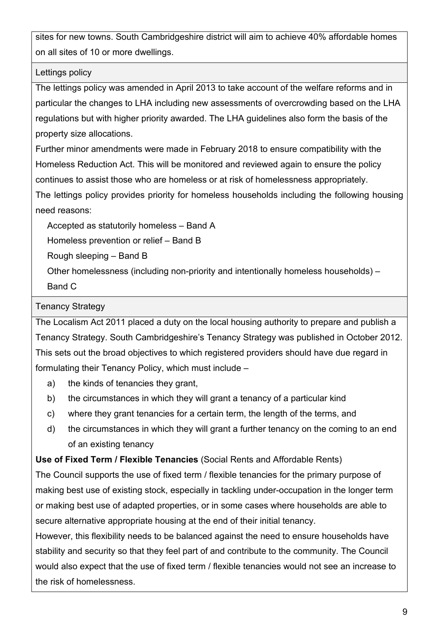sites for new towns. South Cambridgeshire district will aim to achieve 40% affordable homes on all sites of 10 or more dwellings.

#### Lettings policy

 regulations but with higher priority awarded. The LHA guidelines also form the basis of the The lettings policy was amended in April 2013 to take account of the welfare reforms and in particular the changes to LHA including new assessments of overcrowding based on the LHA property size allocations.

Further minor amendments were made in February 2018 to ensure compatibility with the Homeless Reduction Act. This will be monitored and reviewed again to ensure the policy continues to assist those who are homeless or at risk of homelessness appropriately.

The lettings policy provides priority for homeless households including the following housing need reasons:

Accepted as statutorily homeless – Band A

Homeless prevention or relief – Band B

Rough sleeping – Band B

Other homelessness (including non-priority and intentionally homeless households) –<br>Band C

#### Tenancy Strategy

 The Localism Act 2011 placed a duty on the local housing authority to prepare and publish a formulating their Tenancy Policy, which must include – a) the kinds of tenancies they grant, Tenancy Strategy. South Cambridgeshire's Tenancy Strategy was published in October 2012. This sets out the broad objectives to which registered providers should have due regard in

- 
- b) the circumstances in which they will grant a tenancy of a particular kind
- c) where they grant tenancies for a certain term, the length of the terms, and
- d) the circumstances in which they will grant a further tenancy on the coming to an end of an existing tenancy

**Use of Fixed Term / Flexible Tenancies** (Social Rents and Affordable Rents)

 The Council supports the use of fixed term / flexible tenancies for the primary purpose of or making best use of adapted properties, or in some cases where households are able to secure alternative appropriate housing at the end of their initial tenancy. making best use of existing stock, especially in tackling under-occupation in the longer term

 However, this flexibility needs to be balanced against the need to ensure households have stability and security so that they feel part of and contribute to the community. The Council would also expect that the use of fixed term / flexible tenancies would not see an increase to the risk of homelessness.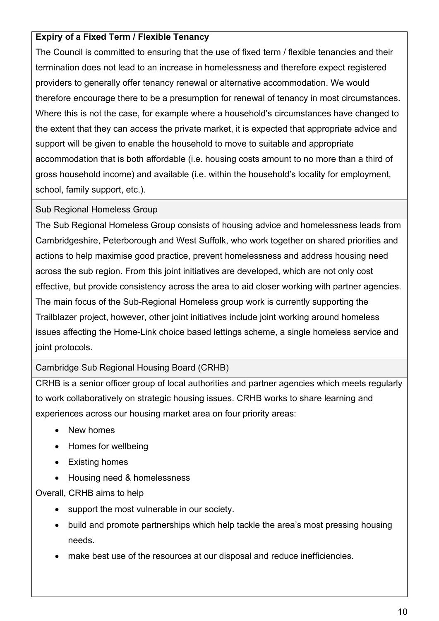#### **Expiry of a Fixed Term / Flexible Tenancy**

 The Council is committed to ensuring that the use of fixed term / flexible tenancies and their Where this is not the case, for example where a household's circumstances have changed to termination does not lead to an increase in homelessness and therefore expect registered providers to generally offer tenancy renewal or alternative accommodation. We would therefore encourage there to be a presumption for renewal of tenancy in most circumstances. the extent that they can access the private market, it is expected that appropriate advice and support will be given to enable the household to move to suitable and appropriate accommodation that is both affordable (i.e. housing costs amount to no more than a third of gross household income) and available (i.e. within the household's locality for employment, school, family support, etc.).

#### Sub Regional Homeless Group

 The Sub Regional Homeless Group consists of housing advice and homelessness leads from actions to help maximise good practice, prevent homelessness and address housing need effective, but provide consistency across the area to aid closer working with partner agencies. Cambridgeshire, Peterborough and West Suffolk, who work together on shared priorities and across the sub region. From this joint initiatives are developed, which are not only cost The main focus of the Sub-Regional Homeless group work is currently supporting the Trailblazer project, however, other joint initiatives include joint working around homeless issues affecting the Home-Link choice based lettings scheme, a single homeless service and joint protocols.

#### Cambridge Sub Regional Housing Board (CRHB)

CRHB is a senior officer group of local authorities and partner agencies which meets regularly to work collaboratively on strategic housing issues. CRHB works to share learning and experiences across our housing market area on four priority areas:

- New homes
- Homes for wellbeing
- Existing homes
- Housing need & homelessness

Overall, CRHB aims to help

- support the most vulnerable in our society.
- build and promote partnerships which help tackle the area's most pressing housing needs.
- make best use of the resources at our disposal and reduce inefficiencies.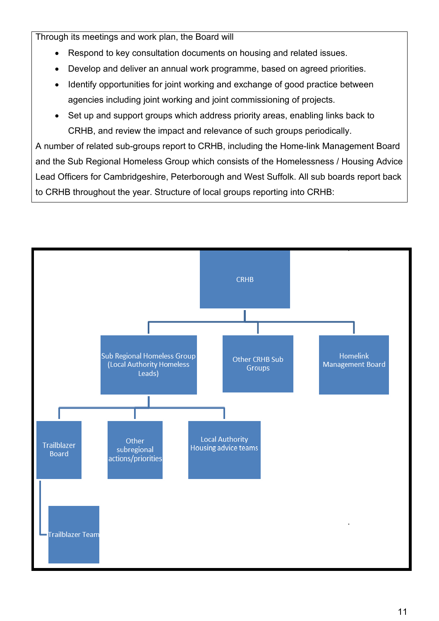Through its meetings and work plan, the Board will

- Respond to key consultation documents on housing and related issues.
- Develop and deliver an annual work programme, based on agreed priorities.
- Identify opportunities for joint working and exchange of good practice between agencies including joint working and joint commissioning of projects.
- Set up and support groups which address priority areas, enabling links back to CRHB, and review the impact and relevance of such groups periodically.

 Lead Officers for Cambridgeshire, Peterborough and West Suffolk. All sub boards report back A number of related sub-groups report to CRHB, including the Home-link Management Board and the Sub Regional Homeless Group which consists of the Homelessness / Housing Advice to CRHB throughout the year. Structure of local groups reporting into CRHB:

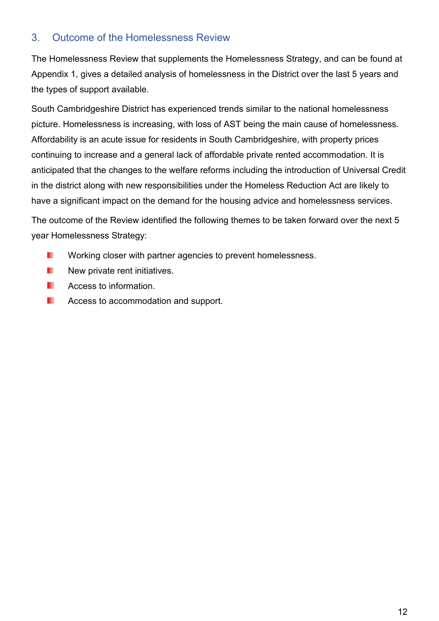## <span id="page-11-0"></span>3. Outcome of the Homelessness Review

The Homelessness Review that supplements the Homelessness Strategy, and can be found at Appendix 1, gives a detailed analysis of homelessness in the District over the last 5 years and the types of support available.

 anticipated that the changes to the welfare reforms including the introduction of Universal Credit South Cambridgeshire District has experienced trends similar to the national homelessness picture. Homelessness is increasing, with loss of AST being the main cause of homelessness. Affordability is an acute issue for residents in South Cambridgeshire, with property prices continuing to increase and a general lack of affordable private rented accommodation. It is in the district along with new responsibilities under the Homeless Reduction Act are likely to have a significant impact on the demand for the housing advice and homelessness services.

The outcome of the Review identified the following themes to be taken forward over the next 5 year Homelessness Strategy:

- T) Working closer with partner agencies to prevent homelessness.
- T) New private rent initiatives.
- T. Access to information.
- 3 Access to accommodation and support.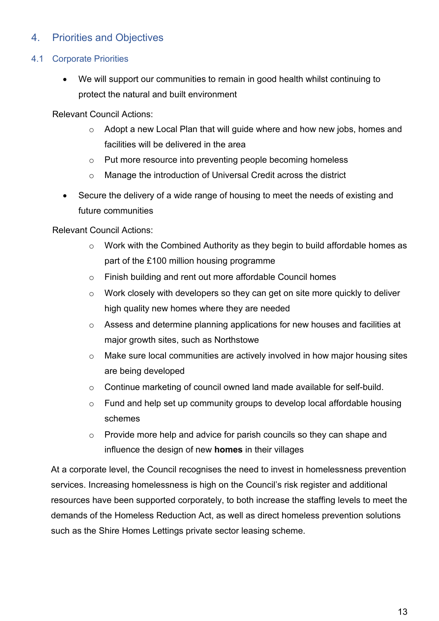## <span id="page-12-0"></span>4. Priorities and Objectives

#### <span id="page-12-1"></span>4.1 Corporate Priorities

We will support our communities to remain in good health whilst continuing to protect the natural and built environment

Relevant Council Actions:

- $\circ$  Adopt a new Local Plan that will guide where and how new jobs, homes and facilities will be delivered in the area
- o Put more resource into preventing people becoming homeless
- o Manage the introduction of Universal Credit across the district
- Secure the delivery of a wide range of housing to meet the needs of existing and future communities

Relevant Council Actions:

- o Work with the Combined Authority as they begin to build affordable homes as part of the £100 million housing programme
- o Finish building and rent out more affordable Council homes
- o Work closely with developers so they can get on site more quickly to deliver high quality new homes where they are needed
- o Assess and determine planning applications for new houses and facilities at major growth sites, such as Northstowe
- $\circ$  Make sure local communities are actively involved in how major housing sites are being developed
- o Continue marketing of council owned land made available for self-build.
- o Fund and help set up community groups to develop local affordable housing schemes
- o Provide more help and advice for parish councils so they can shape and influence the design of new **homes** in their villages

 At a corporate level, the Council recognises the need to invest in homelessness prevention resources have been supported corporately, to both increase the staffing levels to meet the demands of the Homeless Reduction Act, as well as direct homeless prevention solutions services. Increasing homelessness is high on the Council's risk register and additional such as the Shire Homes Lettings private sector leasing scheme.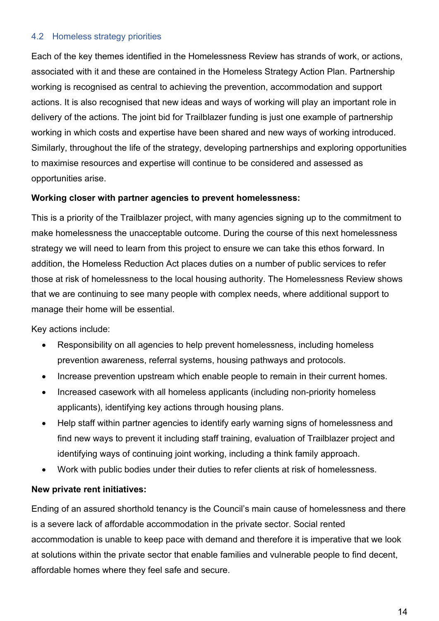#### <span id="page-13-0"></span>4.2 Homeless strategy priorities

 Each of the key themes identified in the Homelessness Review has strands of work, or actions, actions. It is also recognised that new ideas and ways of working will play an important role in associated with it and these are contained in the Homeless Strategy Action Plan. Partnership working is recognised as central to achieving the prevention, accommodation and support delivery of the actions. The joint bid for Trailblazer funding is just one example of partnership working in which costs and expertise have been shared and new ways of working introduced. Similarly, throughout the life of the strategy, developing partnerships and exploring opportunities to maximise resources and expertise will continue to be considered and assessed as opportunities arise.

#### **Working closer with partner agencies to prevent homelessness:**

 addition, the Homeless Reduction Act places duties on a number of public services to refer This is a priority of the Trailblazer project, with many agencies signing up to the commitment to make homelessness the unacceptable outcome. During the course of this next homelessness strategy we will need to learn from this project to ensure we can take this ethos forward. In those at risk of homelessness to the local housing authority. The Homelessness Review shows that we are continuing to see many people with complex needs, where additional support to manage their home will be essential.

Key actions include:

- Responsibility on all agencies to help prevent homelessness, including homeless prevention awareness, referral systems, housing pathways and protocols.
- Increase prevention upstream which enable people to remain in their current homes.
- Increased casework with all homeless applicants (including non-priority homeless applicants), identifying key actions through housing plans.
- Help staff within partner agencies to identify early warning signs of homelessness and find new ways to prevent it including staff training, evaluation of Trailblazer project and identifying ways of continuing joint working, including a think family approach.
- Work with public bodies under their duties to refer clients at risk of homelessness.

#### **New private rent initiatives:**

Ending of an assured shorthold tenancy is the Council's main cause of homelessness and there is a severe lack of affordable accommodation in the private sector. Social rented accommodation is unable to keep pace with demand and therefore it is imperative that we look at solutions within the private sector that enable families and vulnerable people to find decent, affordable homes where they feel safe and secure.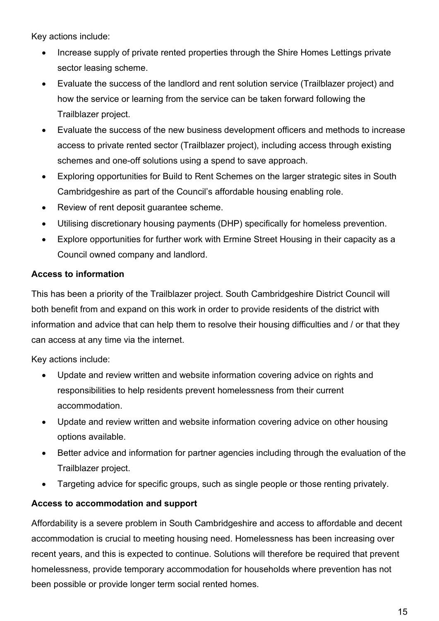Key actions include:

- Increase supply of private rented properties through the Shire Homes Lettings private sector leasing scheme.
- Evaluate the success of the landlord and rent solution service (Trailblazer project) and how the service or learning from the service can be taken forward following the Trailblazer project.
- Evaluate the success of the new business development officers and methods to increase access to private rented sector (Trailblazer project), including access through existing schemes and one-off solutions using a spend to save approach.
- • Exploring opportunities for Build to Rent Schemes on the larger strategic sites in South Cambridgeshire as part of the Council's affordable housing enabling role.
- Review of rent deposit guarantee scheme.
- Utilising discretionary housing payments (DHP) specifically for homeless prevention.
- Explore opportunities for further work with Ermine Street Housing in their capacity as a Council owned company and landlord.

#### **Access to information**

 information and advice that can help them to resolve their housing difficulties and / or that they This has been a priority of the Trailblazer project. South Cambridgeshire District Council will both benefit from and expand on this work in order to provide residents of the district with can access at any time via the internet.

Key actions include:

- • Update and review written and website information covering advice on rights and responsibilities to help residents prevent homelessness from their current accommodation.
- Update and review written and website information covering advice on other housing options available.
- • Better advice and information for partner agencies including through the evaluation of the Trailblazer project.
- Targeting advice for specific groups, such as single people or those renting privately.

#### **Access to accommodation and support**

Affordability is a severe problem in South Cambridgeshire and access to affordable and decent accommodation is crucial to meeting housing need. Homelessness has been increasing over recent years, and this is expected to continue. Solutions will therefore be required that prevent homelessness, provide temporary accommodation for households where prevention has not been possible or provide longer term social rented homes.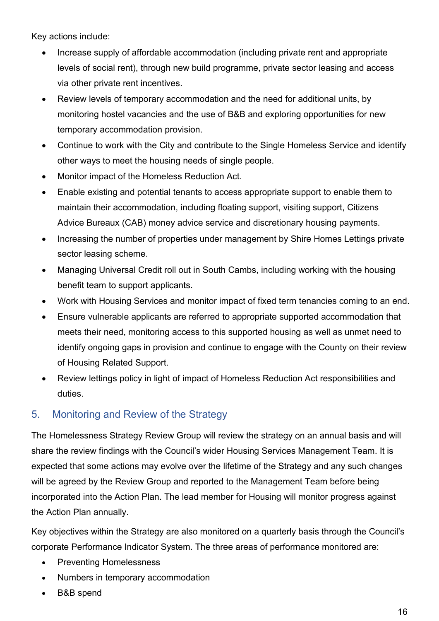Key actions include:

- Increase supply of affordable accommodation (including private rent and appropriate levels of social rent), through new build programme, private sector leasing and access via other private rent incentives.
- • Review levels of temporary accommodation and the need for additional units, by monitoring hostel vacancies and the use of B&B and exploring opportunities for new temporary accommodation provision.
- Continue to work with the City and contribute to the Single Homeless Service and identify other ways to meet the housing needs of single people.
- Monitor impact of the Homeless Reduction Act.
- Enable existing and potential tenants to access appropriate support to enable them to maintain their accommodation, including floating support, visiting support, Citizens Advice Bureaux (CAB) money advice service and discretionary housing payments.
- • Increasing the number of properties under management by Shire Homes Lettings private sector leasing scheme.
- Managing Universal Credit roll out in South Cambs, including working with the housing benefit team to support applicants.
- Work with Housing Services and monitor impact of fixed term tenancies coming to an end.
- Ensure vulnerable applicants are referred to appropriate supported accommodation that meets their need, monitoring access to this supported housing as well as unmet need to identify ongoing gaps in provision and continue to engage with the County on their review of Housing Related Support.
- • Review lettings policy in light of impact of Homeless Reduction Act responsibilities and duties.

## <span id="page-15-0"></span>5. Monitoring and Review of the Strategy

 The Homelessness Strategy Review Group will review the strategy on an annual basis and will share the review findings with the Council's wider Housing Services Management Team. It is expected that some actions may evolve over the lifetime of the Strategy and any such changes will be agreed by the Review Group and reported to the Management Team before being incorporated into the Action Plan. The lead member for Housing will monitor progress against the Action Plan annually.

Key objectives within the Strategy are also monitored on a quarterly basis through the Council's corporate Performance Indicator System. The three areas of performance monitored are:

- Preventing Homelessness
- Numbers in temporary accommodation
- B&B spend